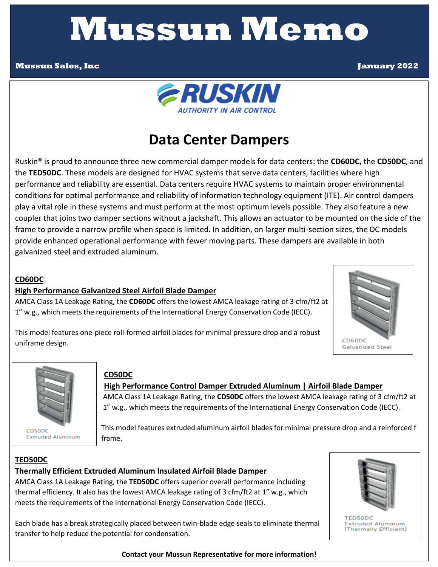# **Mussun Memo**

#### **Mussun Sales, Inc January 2022**



# **Data Center Dampers**

 play a vital role in these systems and must perform at the most optimum levels possible. They also feature a new frame to provide a narrow profile when space is limited. In addition, on larger multi-section sizes, the DC models provide enhanced operational performance with fewer moving parts. These dampers are available in both Ruskin® is proud to announce three new commercial damper models for data centers: the **CD60DC**, the **CD50DC**, and the **TED50DC**. These models are designed for HVAC systems that serve data centers, facilities where high performance and reliability are essential. Data centers require HVAC systems to maintain proper environmental conditions for optimal performance and reliability of information technology equipment (ITE). Air control dampers coupler that joins two damper sections without a jackshaft. This allows an actuator to be mounted on the side of the galvanized steel and extruded aluminum.

#### **CD60DC**

#### **High Performance Galvanized Steel Airfoil Blade Damper**

AMCA Class 1A Leakage Rating, the **CD60DC** offers the lowest AMCA leakage rating of 3 cfm/ft2 at 1" w.g., which meets the requirements of the International Energy Conservation Code (IECC).



This model features one-piece roll-formed airfoil blades for minimal pressure drop and a robust uniframe design.



**Extruded Aluminum** 

#### **CD50DC**

#### **| High Performance Control Damper Extruded Aluminum | Airfoil Blade Damper**

 1" w.g., which meets the requirements of the International Energy Conservation Code (IECC). AMCA Class 1A Leakage Rating, the **CD50DC** offers the lowest AMCA leakage rating of 3 cfm/ft2 at

 This model features extruded aluminum airfoil blades for minimal pressure drop and a reinforced f frame.

#### **TED50DC Thermally Efficient Extruded Aluminum Insulated Airfoil Blade Damper**

AMCA Class 1A Leakage Rating, the **TED50DC** offers superior overall performance including thermal efficiency. It also has the lowest AMCA leakage rating of 3 cfm/ft2 at 1" w.g., which meets the requirements of the International Energy Conservation Code (IECC).

Each blade has a break strategically placed between twin-blade edge seals to eliminate thermal transfer to help reduce the potential for condensation.



**TED50DC Extruded Aluminum** (Thermally Efficient)

**Contact your Mussun Representative for more information!**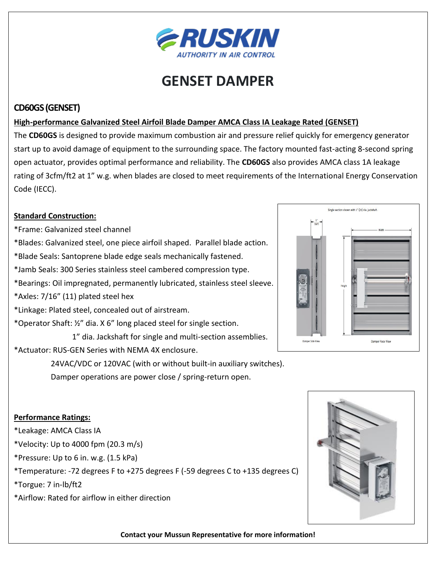

# **GENSET DAMPER**

#### **CD60GS (GENSET)**

#### **High-performance Galvanized Steel Airfoil Blade Damper AMCA Class IA Leakage Rated (GENSET)**

 open actuator, provides optimal performance and reliability. The **CD60GS** also provides AMCA class 1A leakage The **CD60GS** is designed to provide maximum combustion air and pressure relief quickly for emergency generator start up to avoid damage of equipment to the surrounding space. The factory mounted fast-acting 8-second spring rating of 3cfm/ft2 at 1" w.g. when blades are closed to meet requirements of the International Energy Conservation Code (IECC).

#### **Standard Construction:**

- \*Frame: Galvanized steel channel
- \*Blades: Galvanized steel, one piece airfoil shaped. Parallel blade action.
- \*Blade Seals: Santoprene blade edge seals mechanically fastened.
- \*Jamb Seals: 300 Series stainless steel cambered compression type.
- \*Bearings: Oil impregnated, permanently lubricated, stainless steel sleeve.
- \*Axles: 7/16" (11) plated steel hex
- \*Linkage: Plated steel, concealed out of airstream.
- \*Operator Shaft: ½" dia. X 6" long placed steel for single section.
- 1" dia. Jackshaft for single and multi-section assemblies.
- \*Actuator: RUS-GEN Series with NEMA 4X enclosure.

 24VAC/VDC or 120VAC (with or without built-in auxiliary switches).

 Damper operations are power close / spring-return open.



#### **Performance Ratings:**

- \*Leakage: AMCA Class IA
- \*Velocity: Up to 4000 fpm  $(20.3 \text{ m/s})$
- \*Pressure: Up to 6 in. w.g. (1.5 kPa)
- \*Temperature: -72 degrees F to +275 degrees F (-59 degrees C to +135 degrees C)
- \*Torgue: 7 in-lb/ft2
- \*Airflow: Rated for airflow in either direction



**Contact your Mussun Representative for more information!**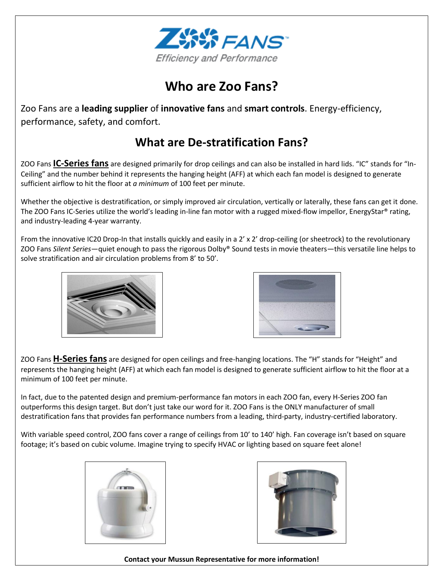

## **Who are Zoo Fans?**

Zoo Fans are a **leading supplier** of **innovative fans** and **smart controls**. Energy-efficiency, performance, safety, and comfort.

## **What are De-stratification Fans?**

ZOO Fans **IC-Series fans** are designed primarily for drop ceilings and can also be installed in hard lids. "IC" stands for "In-Ceiling" and the number behind it represents the hanging height (AFF) at which each fan model is designed to generate sufficient airflow to hit the floor at *a minimum* of 100 feet per minute.

Whether the objective is destratification, or simply improved air circulation, vertically or laterally, these fans can get it done. The ZOO Fans IC-Series utilize the world's leading in-line fan motor with a rugged mixed-flow impellor, EnergyStar® rating, and industry-leading 4-year warranty.

From the innovative IC20 Drop-In that installs quickly and easily in a 2' x 2' drop-ceiling (or sheetrock) to the revolutionary ZOO Fans *Silent Series*—quiet enough to pass the rigorous Dolby® Sound tests in movie theaters—this versatile line helps to solve stratification and air circulation problems from 8' to 50'.



 $\overline{\phantom{a}}$ 



ZOO Fans **H-Series fans** are designed for open ceilings and free-hanging locations. The "H" stands for "Height" and represents the hanging height (AFF) at which each fan model is designed to generate sufficient airflow to hit the floor at a minimum of 100 feet per minute.

In fact, due to the patented design and premium-performance fan motors in each ZOO fan, every H-Series ZOO fan outperforms this design target. But don't just take our word for it. ZOO Fans is the ONLY manufacturer of small destratification fans that provides fan performance numbers from a leading, third-party, industry-certified laboratory.

With variable speed control, ZOO fans cover a range of ceilings from 10' to 140' high. Fan coverage isn't based on square footage; it's based on cubic volume. Imagine trying to specify HVAC or lighting based on square feet alone!





#### **Contact your Mussun Representative for more information!**